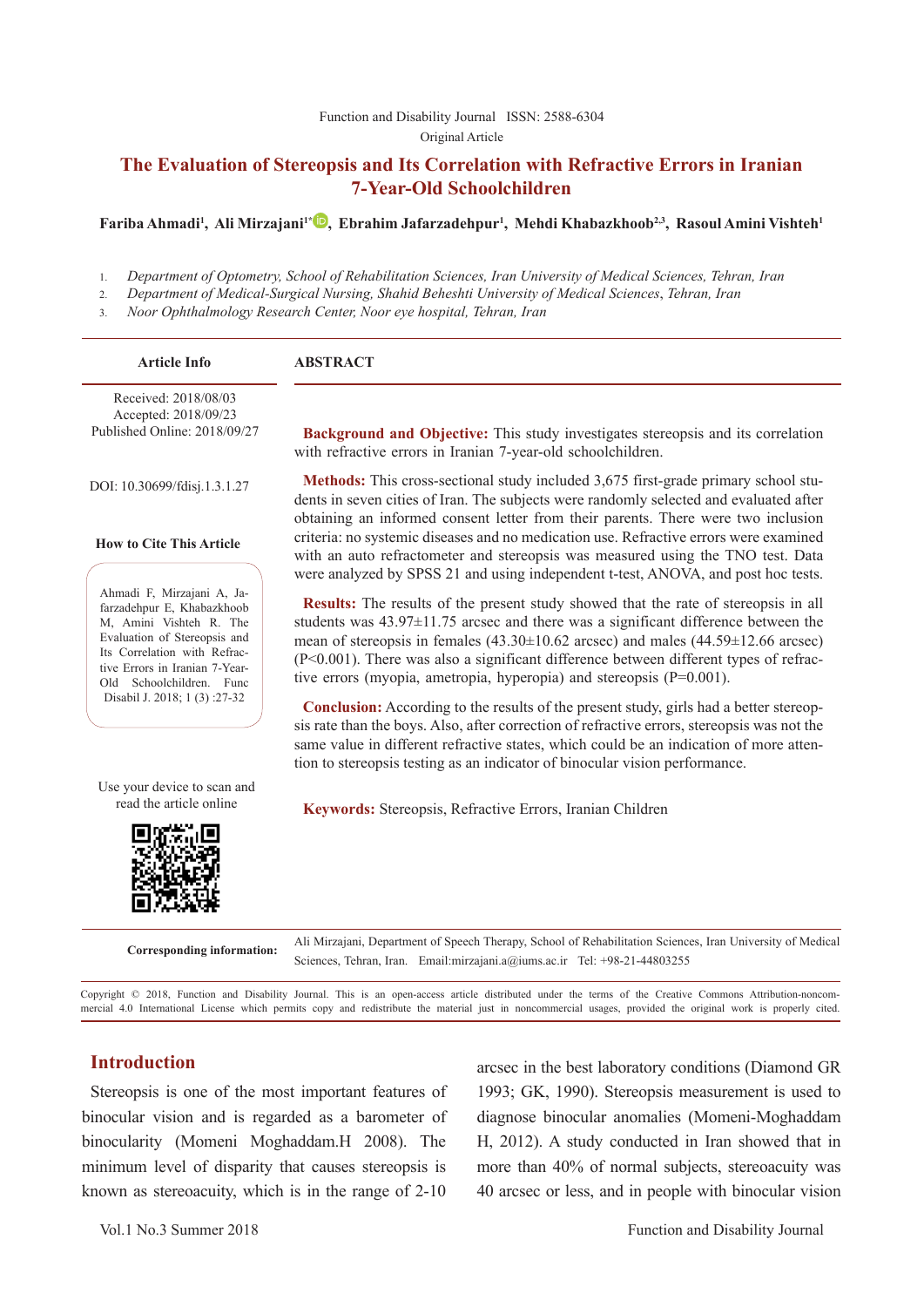#### [Function and Disability Journal ISSN: 2588-6304](http://fdj.iums.ac.ir/index.php?&slct_pg_id=10&sid=1&slc_lang=en)  Original Article

# **The Evaluation of Stereopsis and Its Correlation with Refractive Errors in Iranian 7-Year-Old Schoolchildren**

#### **Fariba Ahmadi1 , Ali Mirzajani1\* [,](http://orcid.org/0000-0003-1520-0470) Ebrahim Jafarzadehpur1 , Mehdi Khabazkhoob2,3, Rasoul Amini Vishteh1**

1. *Department of Optometry, School of Rehabilitation Sciences, Iran University of Medical Sciences, Tehran, Iran*

2. *Department of Medical-Surgical Nursing, Shahid Beheshti University of Medical Sciences*, *Tehran, Iran*

3. *Noor Ophthalmology Research Center, Noor eye hospital, Tehran, Iran*

| <b>Article Info</b>                                                                                                                                                                                               | <b>ABSTRACT</b>                                                                                                                                                                                                                                                                                                                                                                                                                                          |
|-------------------------------------------------------------------------------------------------------------------------------------------------------------------------------------------------------------------|----------------------------------------------------------------------------------------------------------------------------------------------------------------------------------------------------------------------------------------------------------------------------------------------------------------------------------------------------------------------------------------------------------------------------------------------------------|
| Received: 2018/08/03<br>Accepted: 2018/09/23<br>Published Online: 2018/09/27                                                                                                                                      | <b>Background and Objective:</b> This study investigates stereopsis and its correlation<br>with refractive errors in Iranian 7-year-old schoolchildren.                                                                                                                                                                                                                                                                                                  |
| DOI: 10.30699/fdisj.1.3.1.27                                                                                                                                                                                      | <b>Methods:</b> This cross-sectional study included 3,675 first-grade primary school stu-<br>dents in seven cities of Iran. The subjects were randomly selected and evaluated after<br>obtaining an informed consent letter from their parents. There were two inclusion                                                                                                                                                                                 |
| <b>How to Cite This Article</b>                                                                                                                                                                                   | criteria: no systemic diseases and no medication use. Refractive errors were examined<br>with an auto refractometer and stereopsis was measured using the TNO test. Data<br>were analyzed by SPSS 21 and using independent t-test, ANOVA, and post hoc tests.                                                                                                                                                                                            |
| Ahmadi F, Mirzajani A, Ja-<br>farzadehpur E, Khabazkhoob<br>M, Amini Vishteh R. The<br>Evaluation of Stereopsis and<br>Its Correlation with Refrac-<br>tive Errors in Iranian 7-Year-<br>Old Schoolchildren. Func | <b>Results:</b> The results of the present study showed that the rate of stereopsis in all<br>students was $43.97 \pm 11.75$ arcsec and there was a significant difference between the<br>mean of stereopsis in females $(43.30 \pm 10.62$ arcsec) and males $(44.59 \pm 12.66$ arcsec)<br>(P<0.001). There was also a significant difference between different types of refrac-<br>tive errors (myopia, ametropia, hyperopia) and stereopsis (P=0.001). |
| Disabil J. 2018; 1(3):27-32                                                                                                                                                                                       | <b>Conclusion:</b> According to the results of the present study, girls had a better stereop-<br>sis rate than the boys. Also, after correction of refractive errors, stereopsis was not the<br>same value in different refractive states, which could be an indication of more atten-<br>tion to stereopsis testing as an indicator of binocular vision performance.                                                                                    |
| Use your device to scan and<br>read the article online                                                                                                                                                            | Keywords: Stereopsis, Refractive Errors, Iranian Children                                                                                                                                                                                                                                                                                                                                                                                                |
|                                                                                                                                                                                                                   |                                                                                                                                                                                                                                                                                                                                                                                                                                                          |

**Corresponding information:** Ali Mirzajani, Department of Speech Therapy, School of Rehabilitation Sciences, Iran University of Medical Sciences, Tehran, Iran. Email:mirzajani.a@iums.ac.ir Tel: +98-21-44803255

Copyright © 2018, Function and Disability Journal. This is an open-access article distributed under the terms of the Creative Commons Attribution-noncommercial 4.0 International License which permits copy and redistribute the material just in noncommercial usages, provided the original work is properly cited.

## **Introduction**

Stereopsis is one of the most important features of binocular vision and is regarded as a barometer of binocularity (Momeni Moghaddam.H 2008). The minimum level of disparity that causes stereopsis is known as stereoacuity, which is in the range of 2-10

arcsec in the best laboratory conditions (Diamond GR 1993; GK, 1990). Stereopsis measurement is used to diagnose binocular anomalies (Momeni-Moghaddam H, 2012). A study conducted in Iran showed that in more than 40% of normal subjects, stereoacuity was 40 arcsec or less, and in people with binocular vision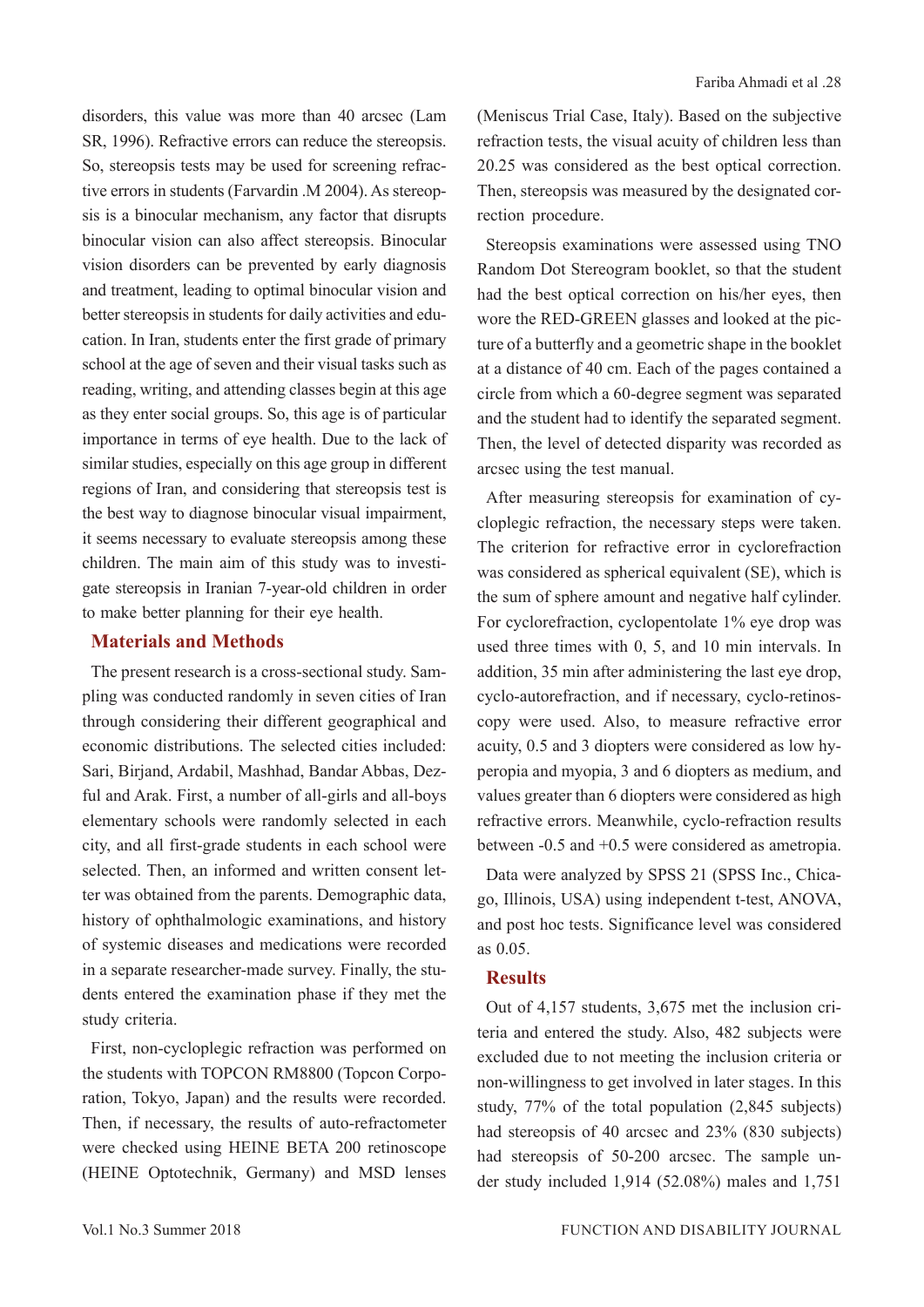disorders, this value was more than 40 arcsec (Lam SR, 1996). Refractive errors can reduce the stereopsis. So, stereopsis tests may be used for screening refractive errors in students (Farvardin .M 2004). As stereopsis is a binocular mechanism, any factor that disrupts binocular vision can also affect stereopsis. Binocular vision disorders can be prevented by early diagnosis and treatment, leading to optimal binocular vision and better stereopsis in students for daily activities and education. In Iran, students enter the first grade of primary school at the age of seven and their visual tasks such as reading, writing, and attending classes begin at this age as they enter social groups. So, this age is of particular importance in terms of eye health. Due to the lack of similar studies, especially on this age group in different regions of Iran, and considering that stereopsis test is the best way to diagnose binocular visual impairment, it seems necessary to evaluate stereopsis among these children. The main aim of this study was to investigate stereopsis in Iranian 7-year-old children in order to make better planning for their eye health.

#### **Materials and Methods**

The present research is a cross-sectional study. Sampling was conducted randomly in seven cities of Iran through considering their different geographical and economic distributions. The selected cities included: Sari, Birjand, Ardabil, Mashhad, Bandar Abbas, Dezful and Arak. First, a number of all-girls and all-boys elementary schools were randomly selected in each city, and all first-grade students in each school were selected. Then, an informed and written consent letter was obtained from the parents. Demographic data, history of ophthalmologic examinations, and history of systemic diseases and medications were recorded in a separate researcher-made survey. Finally, the students entered the examination phase if they met the study criteria.

First, non-cycloplegic refraction was performed on the students with TOPCON RM8800 (Topcon Corporation, Tokyo, Japan) and the results were recorded. Then, if necessary, the results of auto-refractometer were checked using HEINE BETA 200 retinoscope (HEINE Optotechnik, Germany) and MSD lenses

(Meniscus Trial Case, Italy). Based on the subjective refraction tests, the visual acuity of children less than 20.25 was considered as the best optical correction. Then, stereopsis was measured by the designated correction procedure.

Stereopsis examinations were assessed using TNO Random Dot Stereogram booklet, so that the student had the best optical correction on his/her eyes, then wore the RED-GREEN glasses and looked at the picture of a butterfly and a geometric shape in the booklet at a distance of 40 cm. Each of the pages contained a circle from which a 60-degree segment was separated and the student had to identify the separated segment. Then, the level of detected disparity was recorded as arcsec using the test manual.

After measuring stereopsis for examination of cycloplegic refraction, the necessary steps were taken. The criterion for refractive error in cyclorefraction was considered as spherical equivalent (SE), which is the sum of sphere amount and negative half cylinder. For cyclorefraction, cyclopentolate 1% eye drop was used three times with 0, 5, and 10 min intervals. In addition, 35 min after administering the last eye drop, cyclo-autorefraction, and if necessary, cyclo-retinoscopy were used. Also, to measure refractive error acuity, 0.5 and 3 diopters were considered as low hyperopia and myopia, 3 and 6 diopters as medium, and values greater than 6 diopters were considered as high refractive errors. Meanwhile, cyclo-refraction results between -0.5 and +0.5 were considered as ametropia.

Data were analyzed by SPSS 21 (SPSS Inc., Chicago, Illinois, USA) using independent t-test, ANOVA, and post hoc tests. Significance level was considered as 0.05.

## **Results**

Out of 4,157 students, 3,675 met the inclusion criteria and entered the study. Also, 482 subjects were excluded due to not meeting the inclusion criteria or non-willingness to get involved in later stages. In this study, 77% of the total population (2,845 subjects) had stereopsis of 40 arcsec and 23% (830 subjects) had stereopsis of 50-200 arcsec. The sample under study included 1,914 (52.08%) males and 1,751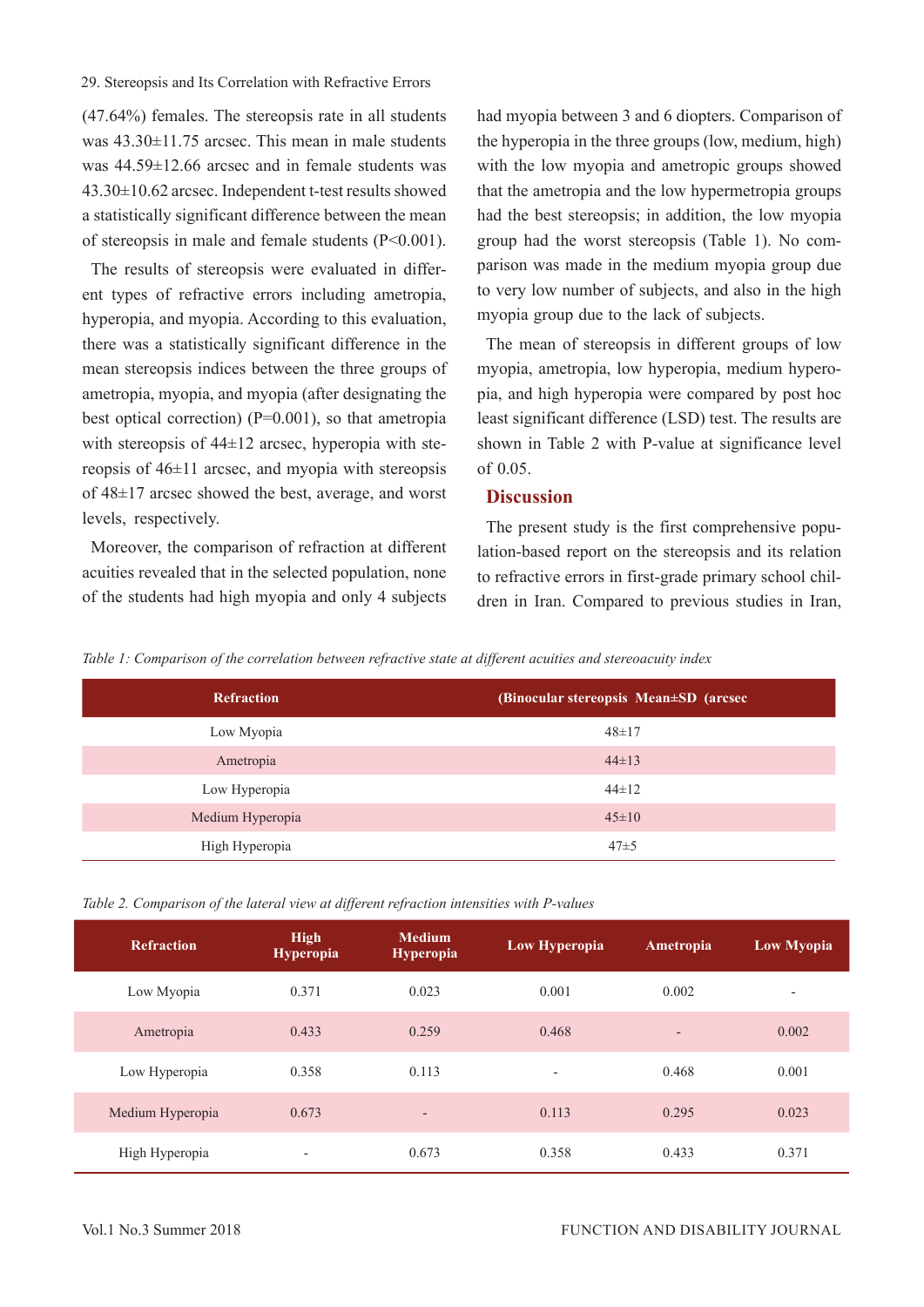#### 29. Stereopsis and Its Correlation with Refractive Errors

(47.64%) females. The stereopsis rate in all students was 43.30±11.75 arcsec. This mean in male students was 44.59±12.66 arcsec and in female students was 43.30±10.62 arcsec. Independent t-test results showed a statistically significant difference between the mean of stereopsis in male and female students (P<0.001).

The results of stereopsis were evaluated in different types of refractive errors including ametropia, hyperopia, and myopia. According to this evaluation, there was a statistically significant difference in the mean stereopsis indices between the three groups of ametropia, myopia, and myopia (after designating the best optical correction)  $(P=0.001)$ , so that ametropia with stereopsis of 44±12 arcsec, hyperopia with stereopsis of 46±11 arcsec, and myopia with stereopsis of 48±17 arcsec showed the best, average, and worst levels, respectively.

Moreover, the comparison of refraction at different acuities revealed that in the selected population, none of the students had high myopia and only 4 subjects

had myopia between 3 and 6 diopters. Comparison of the hyperopia in the three groups (low, medium, high) with the low myopia and ametropic groups showed that the ametropia and the low hypermetropia groups had the best stereopsis; in addition, the low myopia group had the worst stereopsis (Table 1). No comparison was made in the medium myopia group due to very low number of subjects, and also in the high myopia group due to the lack of subjects.

The mean of stereopsis in different groups of low myopia, ametropia, low hyperopia, medium hyperopia, and high hyperopia were compared by post hoc least significant difference (LSD) test. The results are shown in Table 2 with P-value at significance level of 0.05.

## **Discussion**

The present study is the first comprehensive population-based report on the stereopsis and its relation to refractive errors in first-grade primary school children in Iran. Compared to previous studies in Iran,

*Table 1: Comparison of the correlation between refractive state at different acuities and stereoacuity index*

| <b>Refraction</b> | (Binocular stereopsis Mean±SD (arcsec |
|-------------------|---------------------------------------|
| Low Myopia        | $48 \pm 17$                           |
| Ametropia         | $44\pm13$                             |
| Low Hyperopia     | $44\pm12$                             |
| Medium Hyperopia  | $45 \pm 10$                           |
| High Hyperopia    | $47 + 5$                              |

| Table 2. Comparison of the lateral view at different refraction intensities with P-values |  |  |  |  |  |
|-------------------------------------------------------------------------------------------|--|--|--|--|--|
|                                                                                           |  |  |  |  |  |

| <b>Refraction</b> | <b>High</b><br><b>Hyperopia</b> | <b>Medium</b><br><b>Hyperopia</b> | Low Hyperopia            | Ametropia                | <b>Low Myopia</b> |
|-------------------|---------------------------------|-----------------------------------|--------------------------|--------------------------|-------------------|
| Low Myopia        | 0.371                           | 0.023                             | 0.001                    | 0.002                    |                   |
| Ametropia         | 0.433                           | 0.259                             | 0.468                    | $\overline{\phantom{a}}$ | 0.002             |
| Low Hyperopia     | 0.358                           | 0.113                             | $\overline{\phantom{a}}$ | 0.468                    | 0.001             |
| Medium Hyperopia  | 0.673                           | $\overline{\phantom{a}}$          | 0.113                    | 0.295                    | 0.023             |
| High Hyperopia    | $\overline{\phantom{a}}$        | 0.673                             | 0.358                    | 0.433                    | 0.371             |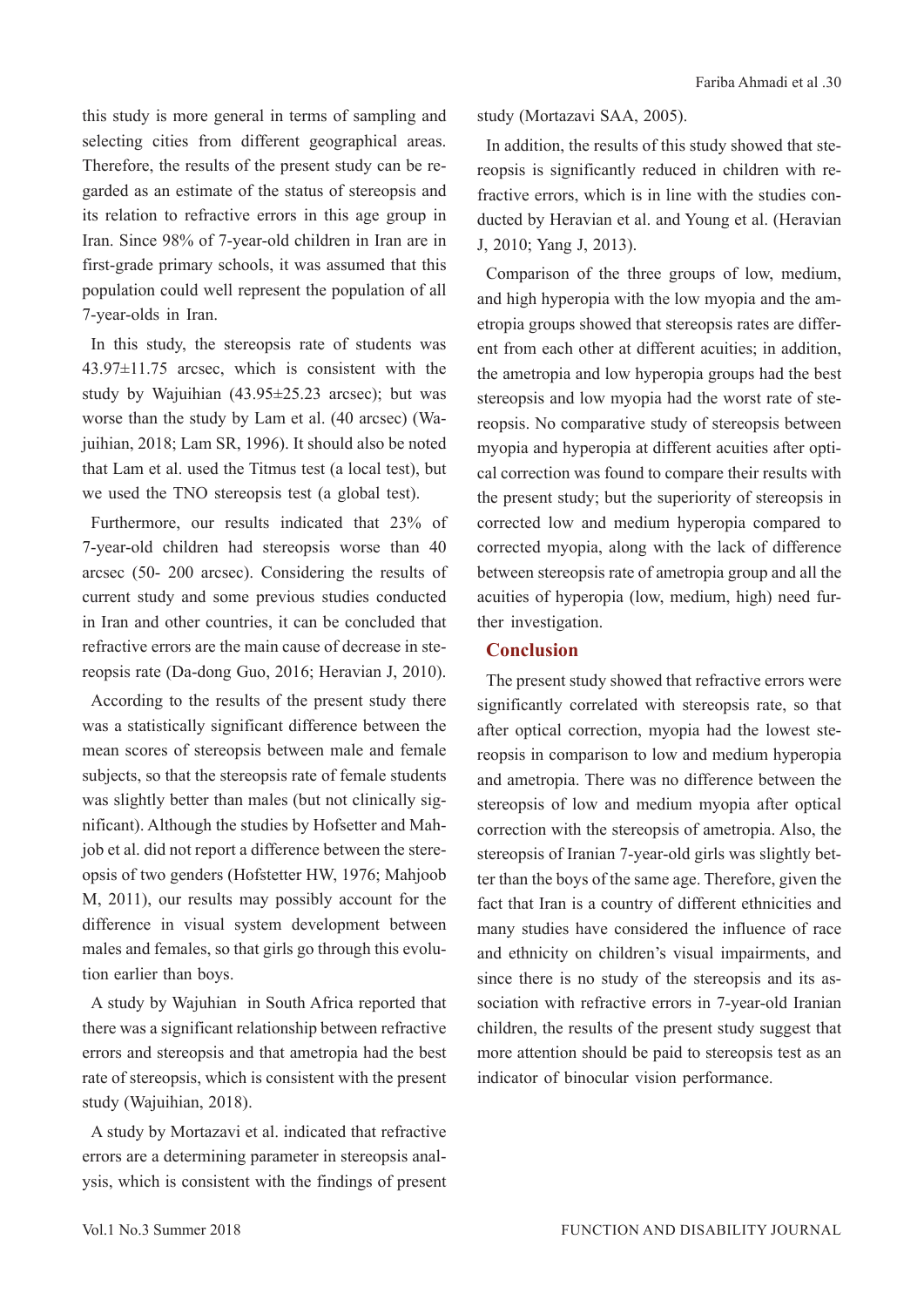this study is more general in terms of sampling and selecting cities from different geographical areas. Therefore, the results of the present study can be regarded as an estimate of the status of stereopsis and its relation to refractive errors in this age group in Iran. Since 98% of 7-year-old children in Iran are in first-grade primary schools, it was assumed that this population could well represent the population of all 7-year-olds in Iran.

In this study, the stereopsis rate of students was 43.97±11.75 arcsec, which is consistent with the study by Wajuihian (43.95±25.23 arcsec); but was worse than the study by Lam et al. (40 arcsec) (Wajuihian, 2018; Lam SR, 1996). It should also be noted that Lam et al. used the Titmus test (a local test), but we used the TNO stereopsis test (a global test).

Furthermore, our results indicated that 23% of 7-year-old children had stereopsis worse than 40 arcsec (50- 200 arcsec). Considering the results of current study and some previous studies conducted in Iran and other countries, it can be concluded that refractive errors are the main cause of decrease in stereopsis rate (Da-dong Guo, 2016; Heravian J, 2010).

According to the results of the present study there was a statistically significant difference between the mean scores of stereopsis between male and female subjects, so that the stereopsis rate of female students was slightly better than males (but not clinically significant). Although the studies by Hofsetter and Mahjob et al. did not report a difference between the stereopsis of two genders (Hofstetter HW, 1976; Mahjoob M, 2011), our results may possibly account for the difference in visual system development between males and females, so that girls go through this evolution earlier than boys.

A study by Wajuhian in South Africa reported that there was a significant relationship between refractive errors and stereopsis and that ametropia had the best rate of stereopsis, which is consistent with the present study (Wajuihian, 2018).

A study by Mortazavi et al. indicated that refractive errors are a determining parameter in stereopsis analysis, which is consistent with the findings of present study (Mortazavi SAA, 2005).

In addition, the results of this study showed that stereopsis is significantly reduced in children with refractive errors, which is in line with the studies conducted by Heravian et al. and Young et al. (Heravian J, 2010; Yang J, 2013).

Comparison of the three groups of low, medium, and high hyperopia with the low myopia and the ametropia groups showed that stereopsis rates are different from each other at different acuities; in addition, the ametropia and low hyperopia groups had the best stereopsis and low myopia had the worst rate of stereopsis. No comparative study of stereopsis between myopia and hyperopia at different acuities after optical correction was found to compare their results with the present study; but the superiority of stereopsis in corrected low and medium hyperopia compared to corrected myopia, along with the lack of difference between stereopsis rate of ametropia group and all the acuities of hyperopia (low, medium, high) need further investigation.

#### **Conclusion**

The present study showed that refractive errors were significantly correlated with stereopsis rate, so that after optical correction, myopia had the lowest stereopsis in comparison to low and medium hyperopia and ametropia. There was no difference between the stereopsis of low and medium myopia after optical correction with the stereopsis of ametropia. Also, the stereopsis of Iranian 7-year-old girls was slightly better than the boys of the same age. Therefore, given the fact that Iran is a country of different ethnicities and many studies have considered the influence of race and ethnicity on children's visual impairments, and since there is no study of the stereopsis and its association with refractive errors in 7-year-old Iranian children, the results of the present study suggest that more attention should be paid to stereopsis test as an indicator of binocular vision performance.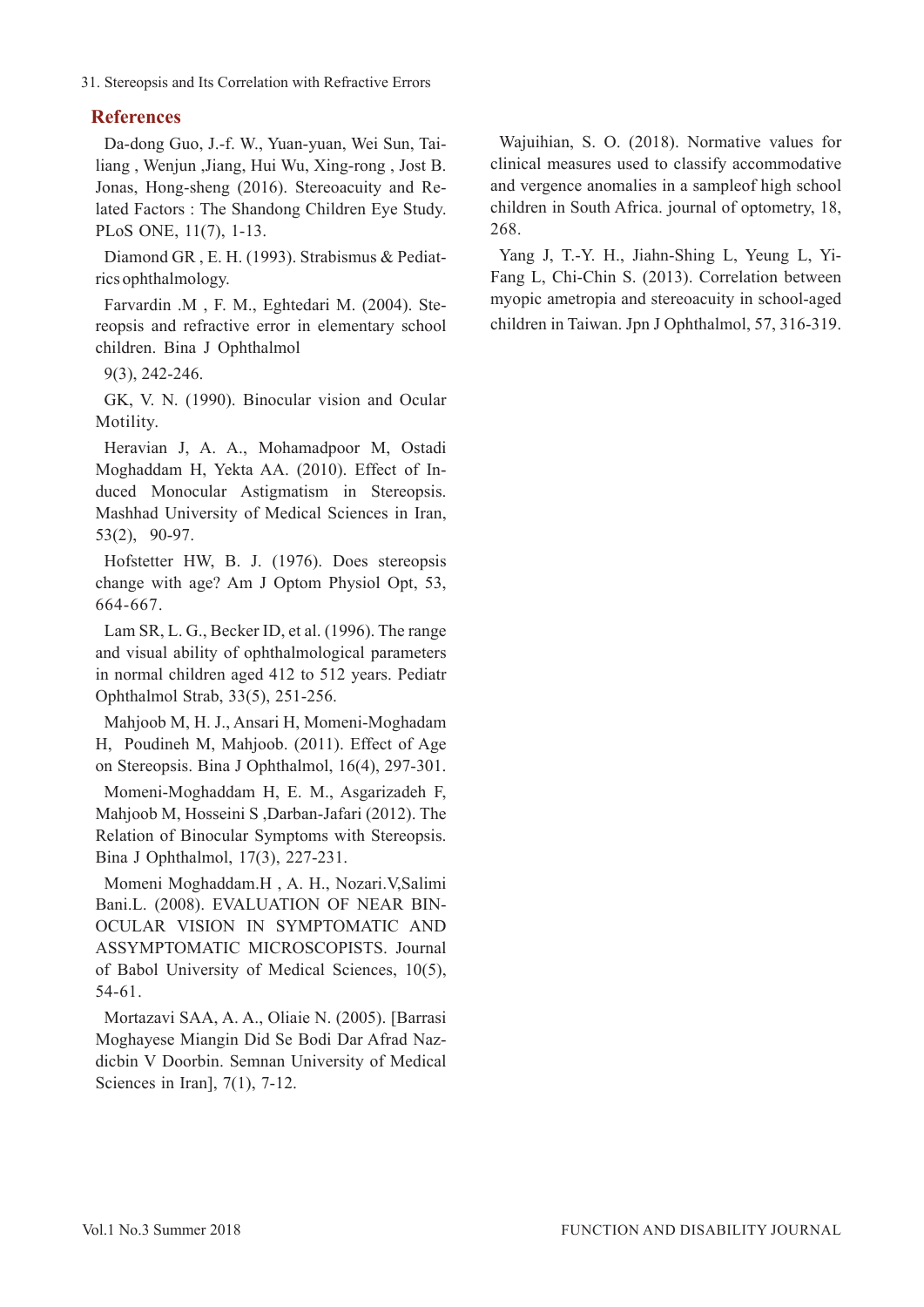31. Stereopsis and Its Correlation with Refractive Errors

# **References**

Da-dong Guo, J.-f. W., Yuan-yuan, Wei Sun, Tailiang , Wenjun ,Jiang, Hui Wu, Xing-rong , Jost B. Jonas, Hong-sheng (2016). Stereoacuity and Related Factors : The Shandong Children Eye Study. PLoS ONE, 11(7), 1-13.

Diamond GR , E. H. (1993). Strabismus & Pediatrics ophthalmology.

Farvardin .M , F. M., Eghtedari M. (2004). Stereopsis and refractive error in elementary school children. Bina J Ophthalmol

9(3), 242-246.

GK, V. N. (1990). Binocular vision and Ocular Motility.

Heravian J, A. A., Mohamadpoor M, Ostadi Moghaddam H, Yekta AA. (2010). Effect of Induced Monocular Astigmatism in Stereopsis. Mashhad University of Medical Sciences in Iran, 53(2), 90-97.

Hofstetter HW, B. J. (1976). Does stereopsis change with age? Am J Optom Physiol Opt, 53, 664-667.

Lam SR, L. G., Becker ID, et al. (1996). The range and visual ability of ophthalmological parameters in normal children aged 412 to 512 years. Pediatr Ophthalmol Strab, 33(5), 251-256.

Mahjoob M, H. J., Ansari H, Momeni-Moghadam H, Poudineh M, Mahjoob. (2011). Effect of Age on Stereopsis. Bina J Ophthalmol, 16(4), 297-301.

Momeni-Moghaddam H, E. M., Asgarizadeh F, Mahjoob M, Hosseini S ,Darban-Jafari (2012). The Relation of Binocular Symptoms with Stereopsis. Bina J Ophthalmol, 17(3), 227-231.

Momeni Moghaddam.H , A. H., Nozari.V,Salimi Bani.L. (2008). EVALUATION OF NEAR BIN-OCULAR VISION IN SYMPTOMATIC AND ASSYMPTOMATIC MICROSCOPISTS. Journal of Babol University of Medical Sciences, 10(5), 54-61.

Mortazavi SAA, A. A., Oliaie N. (2005). [Barrasi Moghayese Miangin Did Se Bodi Dar Afrad Nazdicbin V Doorbin. Semnan University of Medical Sciences in Iran], 7(1), 7-12.

Wajuihian, S. O. (2018). Normative values for clinical measures used to classify accommodative and vergence anomalies in a sampleof high school children in South Africa. journal of optometry, 18, 268.

Yang J, T.-Y. H., Jiahn-Shing L, Yeung L, Yi-Fang L, Chi-Chin S. (2013). Correlation between myopic ametropia and stereoacuity in school-aged children in Taiwan. Jpn J Ophthalmol, 57, 316-319.